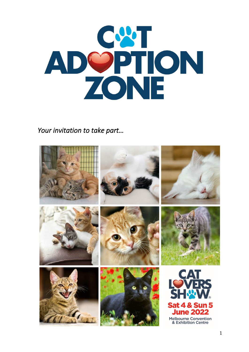

Your invitation to take part...

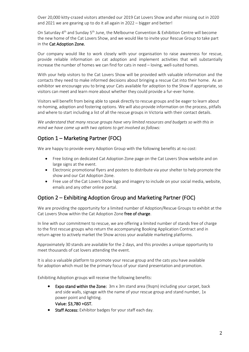Over 20,000 kitty-crazed visitors attended our 2019 Cat Lovers Show and after missing out in 2020 and 2021 we are gearing up to do it all again in 2022 – bigger and better!

On Saturday 4<sup>th</sup> and Sunday 5<sup>th</sup> June, the Melbourne Convention & Exhibition Centre will become the new home of the Cat Lovers Show, and we would like to invite your Rescue Group to take part in the Cat Adoption Zone.

Our company would like to work closely with your organisation to raise awareness for rescue, provide reliable information on cat adoption and implement activities that will substantially increase the number of homes we can find for cats in need – loving, well-suited homes.

With your help visitors to the Cat Lovers Show will be provided with valuable information and the contacts they need to make informed decisions about bringing a rescue Cat into their home. As an exhibitor we encourage you to bring your Cats available for adoption to the Show if appropriate, so visitors can meet and learn more about whether they could provide a fur-ever home.

Visitors will benefit from being able to speak directly to rescue groups and be eager to learn about re-homing, adoption and fostering options. We will also provide information on the process, pitfalls and where to start including a list of all the rescue groups in Victoria with their contact details.

We understand that many rescue groups have very limited resources and budgets so with this in *mind we have come up with two options to get involved as follows:*

## Option 1 – Marketing Partner (FOC)

We are happy to provide every Adoption Group with the following benefits at no cost:

- Free listing on dedicated Cat Adoption Zone page on the Cat Lovers Show website and on large signs at the event.
- Electronic promotional flyers and posters to distribute via your shelter to help promote the show and our Cat Adoption Zone.
- Free use of the Cat Lovers Show logo and imagery to include on your social media, website, emails and any other online portal.

## Option 2 – Exhibiting Adoption Group and Marketing Partner (FOC)

We are providing the opportunity for a limited number of Adoption/Rescue Groups to exhibit at the Cat Lovers Show within the Cat Adoption Zone free of charge.

In line with our commitment to rescue, we are offering a limited number of stands free of charge to the first rescue groups who return the accompanying Booking Application Contract and in return agree to actively market the Show across your available marketing platforms.

Approximately 30 stands are available for the 2 days, and this provides a unique opportunity to meet thousands of cat lovers attending the event.

It is also a valuable platform to promote your rescue group and the cats you have available for adoption which must be the primary focus of your stand presentation and promotion.

Exhibiting Adoption groups will receive the following benefits:

- Expo stand within the Zone:  $3m \times 3m$  stand area (9sqm) including your carpet, back and side walls, signage with the name of your rescue group and stand number, 1x power point and lighting.
	- Value: \$3,780 +GST.
- Staff Access: Exhibitor badges for your staff each day.